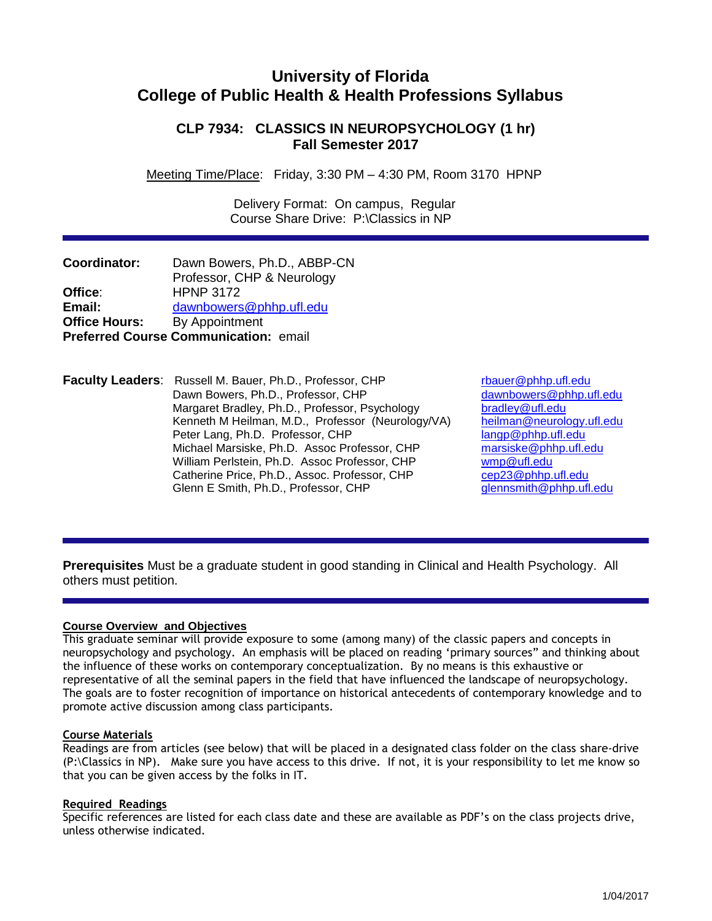# **University of Florida College of Public Health & Health Professions Syllabus**

# **CLP 7934: CLASSICS IN NEUROPSYCHOLOGY (1 hr) Fall Semester 2017**

Meeting Time/Place: Friday, 3:30 PM – 4:30 PM, Room 3170 HPNP

 Delivery Format: On campus, Regular Course Share Drive: P:\Classics in NP

| <b>Coordinator:</b>  | Dawn Bowers, Ph.D., ABBP-CN           |
|----------------------|---------------------------------------|
|                      | Professor, CHP & Neurology            |
| Office:              | <b>HPNP 3172</b>                      |
| Email:               | dawnbowers@phhp.ufl.edu               |
| <b>Office Hours:</b> | By Appointment                        |
|                      | Preferred Course Communication: email |

**Faculty Leaders**: Russell M. Bauer, Ph.D., Professor, CHP reader reader and the phip.ufl.edu<br>Dawn Bowers, Ph.D., Professor, CHP reader by a dawnbowers@phhp.ufl.edu Dawn Bowers, Ph.D., Professor, CHP Margaret Bradley, Ph.D., Professor, Psychology bradley@ufl.edu<br>Kenneth M Heilman, M.D., Professor (Neurology/VA) heilman@neurology.ufl.edu Kenneth M Heilman, M.D., Professor (Neurology/VA) heilman@neurology.<br>Peter Lang, Ph.D. Professor, CHP angp@phhp.ufl.edu Peter Lang, Ph.D. Professor, CHP<br>Michael Marsiske, Ph.D. Assoc Professor, CHP marsiske@phhp.ufl.edu Michael Marsiske, Ph.D. Assoc Professor, CHP marsiske@phh<br>William Perlstein, Ph.D. Assoc Professor, CHP municlearly manuform William Perlstein, Ph.D. Assoc Professor, CHP<br>Catherine Price, Ph.D., Assoc. Professor, CHP cep23@phhp.ufl.edu Catherine Price, Ph.D., Assoc. Professor, CHP Glenn E Smith, Ph.D., Professor, CHP [glennsmith@phhp.ufl.edu](mailto:glennsmith@phhp.ufl.edu)

**Prerequisites** Must be a graduate student in good standing in Clinical and Health Psychology. All others must petition.

# **Course Overview and Objectives**

This graduate seminar will provide exposure to some (among many) of the classic papers and concepts in neuropsychology and psychology. An emphasis will be placed on reading 'primary sources" and thinking about the influence of these works on contemporary conceptualization. By no means is this exhaustive or representative of all the seminal papers in the field that have influenced the landscape of neuropsychology. The goals are to foster recognition of importance on historical antecedents of contemporary knowledge and to promote active discussion among class participants.

# **Course Materials**

Readings are from articles (see below) that will be placed in a designated class folder on the class share-drive (P:\Classics in NP). Make sure you have access to this drive. If not, it is your responsibility to let me know so that you can be given access by the folks in IT.

# **Required Readings**

Specific references are listed for each class date and these are available as PDF's on the class projects drive, unless otherwise indicated.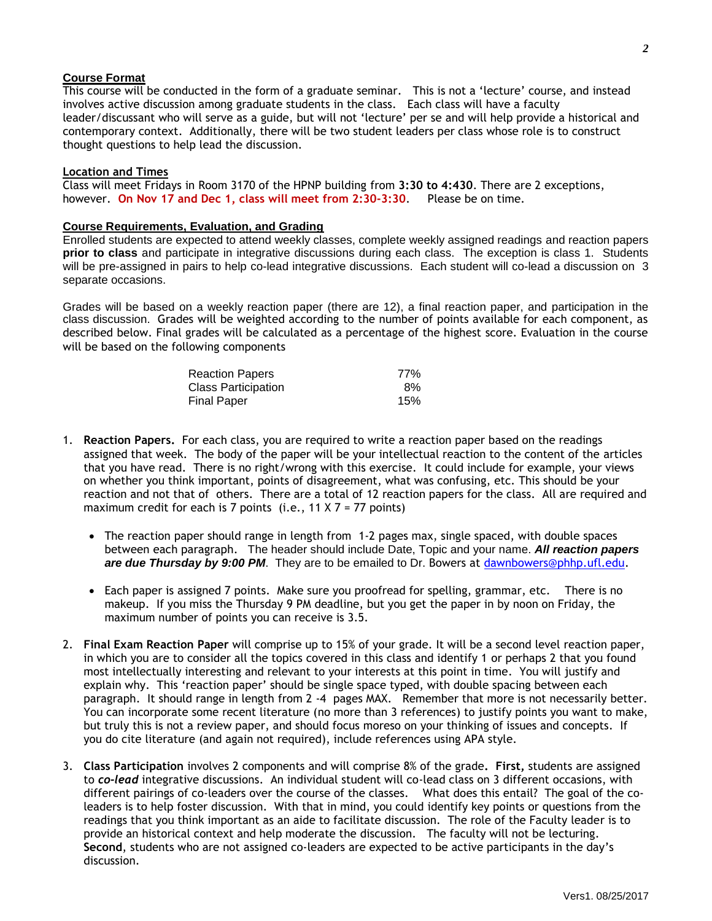# **Course Format**

This course will be conducted in the form of a graduate seminar. This is not a 'lecture' course, and instead involves active discussion among graduate students in the class. Each class will have a faculty leader/discussant who will serve as a guide, but will not 'lecture' per se and will help provide a historical and contemporary context. Additionally, there will be two student leaders per class whose role is to construct thought questions to help lead the discussion.

### **Location and Times**

Class will meet Fridays in Room 3170 of the HPNP building from **3:30 to 4:430**. There are 2 exceptions, however. **On Nov 17 and Dec 1, class will meet from 2:30-3:30**. Please be on time.

### **Course Requirements, Evaluation, and Grading**

Enrolled students are expected to attend weekly classes, complete weekly assigned readings and reaction papers **prior to class** and participate in integrative discussions during each class. The exception is class 1. Students will be pre-assigned in pairs to help co-lead integrative discussions. Each student will co-lead a discussion on 3 separate occasions.

Grades will be based on a weekly reaction paper (there are 12), a final reaction paper, and participation in the class discussion. Grades will be weighted according to the number of points available for each component, as described below. Final grades will be calculated as a percentage of the highest score. Evaluation in the course will be based on the following components

| <b>Reaction Papers</b>     | 77% |
|----------------------------|-----|
| <b>Class Participation</b> | 8%  |
| <b>Final Paper</b>         | 15% |

- 1. **Reaction Papers.** For each class, you are required to write a reaction paper based on the readings assigned that week. The body of the paper will be your intellectual reaction to the content of the articles that you have read. There is no right/wrong with this exercise. It could include for example, your views on whether you think important, points of disagreement, what was confusing, etc. This should be your reaction and not that of others. There are a total of 12 reaction papers for the class. All are required and maximum credit for each is 7 points (i.e.,  $11 \times 7 = 77$  points)
	- The reaction paper should range in length from 1-2 pages max, single spaced, with double spaces between each paragraph. The header should include Date, Topic and your name. *All reaction papers are due Thursday by 9:00 PM*. They are to be emailed to Dr. Bowers at [dawnbowers@phhp.ufl.edu.](mailto:dawnbowers@phhp.ufl.edu)
	- Each paper is assigned 7 points. Make sure you proofread for spelling, grammar, etc. There is no makeup. If you miss the Thursday 9 PM deadline, but you get the paper in by noon on Friday, the maximum number of points you can receive is 3.5.
- 2. **Final Exam Reaction Paper** will comprise up to 15% of your grade. It will be a second level reaction paper, in which you are to consider all the topics covered in this class and identify 1 or perhaps 2 that you found most intellectually interesting and relevant to your interests at this point in time. You will justify and explain why. This 'reaction paper' should be single space typed, with double spacing between each paragraph. It should range in length from 2 -4 pages MAX. Remember that more is not necessarily better. You can incorporate some recent literature (no more than 3 references) to justify points you want to make, but truly this is not a review paper, and should focus moreso on your thinking of issues and concepts. If you do cite literature (and again not required), include references using APA style.
- 3. **Class Participation** involves 2 components and will comprise 8% of the grade**. First,** students are assigned to *co-lead* integrative discussions. An individual student will co-lead class on 3 different occasions, with different pairings of co-leaders over the course of the classes. What does this entail? The goal of the coleaders is to help foster discussion. With that in mind, you could identify key points or questions from the readings that you think important as an aide to facilitate discussion. The role of the Faculty leader is to provide an historical context and help moderate the discussion. The faculty will not be lecturing. **Second**, students who are not assigned co-leaders are expected to be active participants in the day's discussion.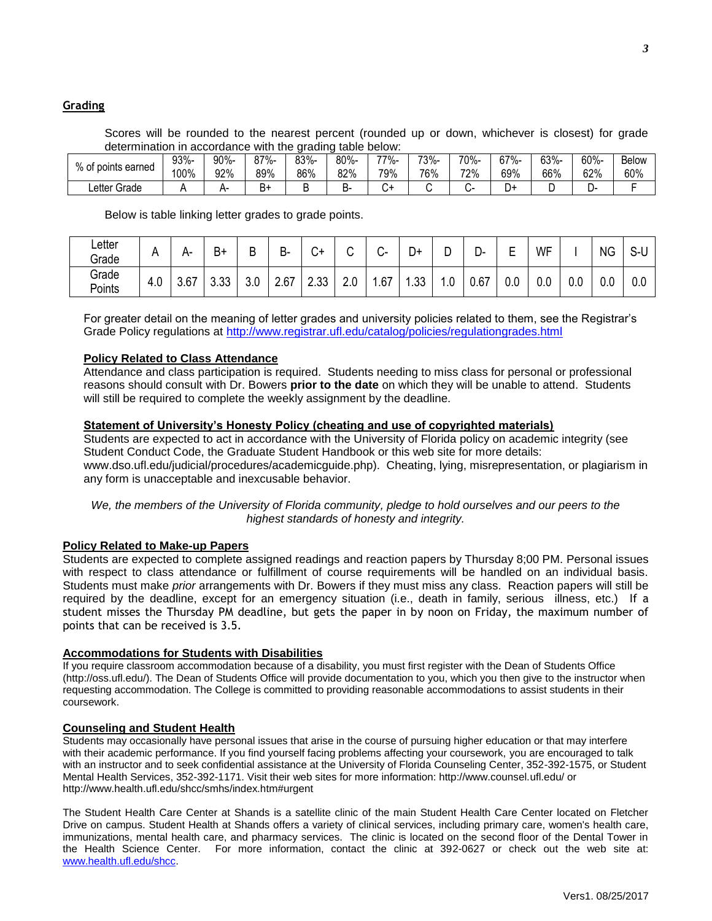# **Grading**

Scores will be rounded to the nearest percent (rounded up or down, whichever is closest) for grade determination in accordance with the grading table below:

| % of ,        | 93%- | 90%- | $87% -$ | 83%- | 80%- | 77%- | 73%- | 70%- | $67% -$ | 63%- | 60%-  | <b>Below</b> |
|---------------|------|------|---------|------|------|------|------|------|---------|------|-------|--------------|
| points earned | 100% | 92%  | 89%     | 86%  | 82%  | 79%  | 76%  | 72%  | 69%     | 66%  | 62%   | 60%          |
| Letter Grade  |      | ⊶-   | -<br>B+ |      | ־כ   |      |      |      | +ر      |      | 7٠- س |              |

Below is table linking letter grades to grade points.

| ∟etter<br>Grade | n.              | ⊷-   | $B+$        | D<br>◡        | В-   | ⌒<br>- 7 | ⌒          | $\sim$<br>$\sim$ | D+       | Ð<br>◡ | ∍<br>υ- | -<br>−<br>− | WF       |     | <b>NG</b>  | $\sim$<br>ง-บ |
|-----------------|-----------------|------|-------------|---------------|------|----------|------------|------------------|----------|--------|---------|-------------|----------|-----|------------|---------------|
| Grade<br>Points | <u>r</u><br>4.U | 3.67 | ົດດ<br>∪.∪∪ | $\sim$<br>v.v | 2.67 | 2.33     | n n<br>z.u | .67              | ่วว<br>ں | 0.1    | 0.67    | $0.0\,$     | ~<br>V.V | v.v | ∩ ∩<br>v.v | 0.0           |

For greater detail on the meaning of letter grades and university policies related to them, see the Registrar's Grade Policy regulations at<http://www.registrar.ufl.edu/catalog/policies/regulationgrades.html>

### **Policy Related to Class Attendance**

Attendance and class participation is required. Students needing to miss class for personal or professional reasons should consult with Dr. Bowers **prior to the date** on which they will be unable to attend. Students will still be required to complete the weekly assignment by the deadline.

### **Statement of University's Honesty Policy (cheating and use of copyrighted materials)**

Students are expected to act in accordance with the University of Florida policy on academic integrity (see Student Conduct Code, the Graduate Student Handbook or this web site for more details: www.dso.ufl.edu/judicial/procedures/academicguide.php). Cheating, lying, misrepresentation, or plagiarism in any form is unacceptable and inexcusable behavior.

*We, the members of the University of Florida community, pledge to hold ourselves and our peers to the highest standards of honesty and integrity.*

#### **Policy Related to Make-up Papers**

Students are expected to complete assigned readings and reaction papers by Thursday 8;00 PM. Personal issues with respect to class attendance or fulfillment of course requirements will be handled on an individual basis. Students must make *prior* arrangements with Dr. Bowers if they must miss any class. Reaction papers will still be required by the deadline, except for an emergency situation (i.e., death in family, serious illness, etc.) If a student misses the Thursday PM deadline, but gets the paper in by noon on Friday, the maximum number of points that can be received is 3.5.

### **Accommodations for Students with Disabilities**

If you require classroom accommodation because of a disability, you must first register with the Dean of Students Office (http://oss.ufl.edu/). The Dean of Students Office will provide documentation to you, which you then give to the instructor when requesting accommodation. The College is committed to providing reasonable accommodations to assist students in their coursework.

#### **Counseling and Student Health**

Students may occasionally have personal issues that arise in the course of pursuing higher education or that may interfere with their academic performance. If you find yourself facing problems affecting your coursework, you are encouraged to talk with an instructor and to seek confidential assistance at the University of Florida Counseling Center, 352-392-1575, or Student Mental Health Services, 352-392-1171. Visit their web sites for more information: http://www.counsel.ufl.edu/ or http://www.health.ufl.edu/shcc/smhs/index.htm#urgent

The Student Health Care Center at Shands is a satellite clinic of the main Student Health Care Center located on Fletcher Drive on campus. Student Health at Shands offers a variety of clinical services, including primary care, women's health care, immunizations, mental health care, and pharmacy services. The clinic is located on the second floor of the Dental Tower in the Health Science Center. For more information, contact the clinic at 392-0627 or check out the web site at: [www.health.ufl.edu/shcc.](http://www.health.ufl.edu/shcc)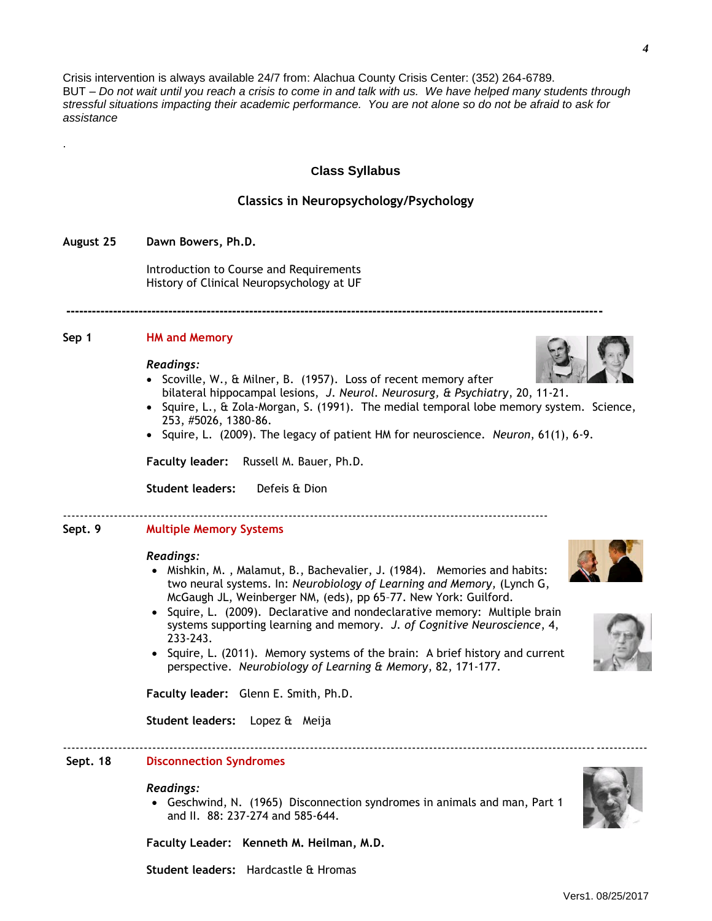Crisis intervention is always available 24/7 from: Alachua County Crisis Center: (352) 264-6789. BUT – *Do not wait until you reach a crisis to come in and talk with us. We have helped many students through stressful situations impacting their academic performance. You are not alone so do not be afraid to ask for assistance*

### **Class Syllabus**

### **Classics in Neuropsychology/Psychology**

#### **August 25 Dawn Bowers, Ph.D.**

.

Introduction to Course and Requirements History of Clinical Neuropsychology at UF

#### **Sep 1 HM and Memory**

#### *Readings:*

• Scoville, W., & Milner, B. (1957). Loss of recent memory after bilateral hippocampal lesions, *J. Neurol. Neurosurg, & Psychiatry*, 20, 11-21.

**------------------------------------------------------------------------------------------------------------------------------**

- $\bullet$  Squire, L., & Zola-Morgan, S. (1991). The medial temporal lobe memory system. Science, 253, #5026, 1380-86.
- Squire, L. (2009). The legacy of patient HM for neuroscience. *Neuron*, 61(1), 6-9.

**Faculty leader:** Russell M. Bauer, Ph.D.

**Student leaders:** Defeis & Dion

------------------------------------------------------------------------------------------------------------------

### **Sept. 9 Multiple Memory Systems**

#### *Readings:*

- Mishkin, M., Malamut, B., Bachevalier, J. (1984). Memories and habits: two neural systems. In: *Neurobiology of Learning and Memory,* (Lynch G, McGaugh JL, Weinberger NM, (eds), pp 65–77. New York: Guilford.
- Squire, L. (2009). Declarative and nondeclarative memory: Multiple brain systems supporting learning and memory. *J. of Cognitive Neuroscience*, 4, 233-243.
- Squire, L. (2011). Memory systems of the brain: A brief history and current perspective. *Neurobiology of Learning & Memory*, 82, 171-177.

**Faculty leader:** Glenn E. Smith, Ph.D.

**Student leaders:** Lopez & Meija

#### **Sept. 18 Disconnection Syndromes**

#### *Readings:*

 Geschwind, N. (1965) Disconnection syndromes in animals and man, Part 1 and II. 88: 237-274 and 585-644.

-----------------------------------------------------------------------------------------------------------------------------------------

**Faculty Leader: Kenneth M. Heilman, M.D.**

**Student leaders:** Hardcastle & Hromas







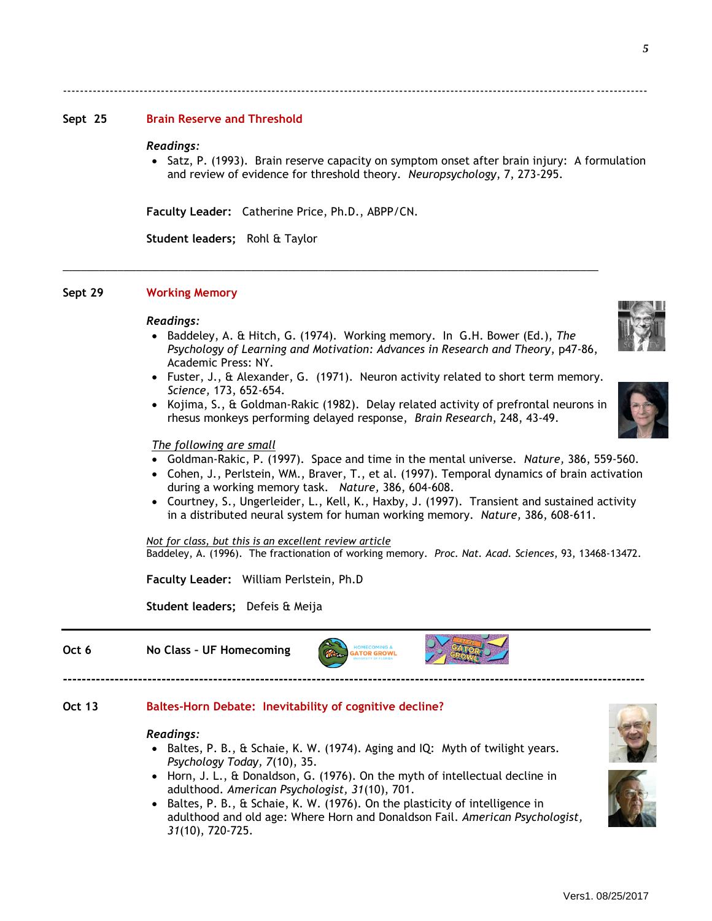### **Sept 25 Brain Reserve and Threshold**

#### *Readings:*

• Satz, P. (1993). Brain reserve capacity on symptom onset after brain injury: A formulation and review of evidence for threshold theory. *Neuropsychology*, 7, 273-295.

-----------------------------------------------------------------------------------------------------------------------------------------

**Faculty Leader:** Catherine Price, Ph.D., ABPP/CN.

\_\_\_\_\_\_\_\_\_\_\_\_\_\_\_\_\_\_\_\_\_\_\_\_\_\_\_\_\_\_\_\_\_\_\_\_\_\_\_\_\_\_\_\_\_\_\_\_\_\_\_\_\_\_\_\_\_\_\_\_\_\_\_\_\_\_\_\_\_\_\_\_\_\_\_\_\_\_\_\_\_\_\_\_\_\_\_\_

**Student leaders;** Rohl & Taylor

# **Sept 29 Working Memory**

#### *Readings:*

- **Baddeley, A. & Hitch, G. (1974). Working memory. In G.H. Bower (Ed.), The** *Psychology of Learning and Motivation: Advances in Research and Theory*, p47-86, Academic Press: NY.
- Fuster, J., & Alexander, G. (1971). Neuron activity related to short term memory. *Science,* 173, 652-654.
- Kojima, S., & Goldman-Rakic (1982). Delay related activity of prefrontal neurons in rhesus monkeys performing delayed response, *Brain Research*, 248, 43-49.

#### *The following are small*

- Goldman-Rakic, P. (1997). Space and time in the mental universe. *Nature,* 386, 559-560.
- Cohen, J., Perlstein, WM., Braver, T., et al. (1997). Temporal dynamics of brain activation during a working memory task. *Nature,* 386, 604-608.
- Courtney, S., Ungerleider, L., Kell, K., Haxby, J. (1997). Transient and sustained activity in a distributed neural system for human working memory. *Nature,* 386, 608-611.

*Not for class, but this is an excellent review article* Baddeley, A. (1996). The fractionation of working memory. *Proc. Nat. Acad. Sciences*, 93, 13468-13472.

**Faculty Leader:** William Perlstein, Ph.D

**Student leaders;** Defeis & Meija

# **Oct 6 No Class – UF Homecoming**

# **Oct 13 Baltes-Horn Debate: Inevitability of cognitive decline?**

#### *Readings:*

 Baltes, P. B., & Schaie, K. W. (1974). Aging and IQ: Myth of twilight years. *Psychology Today, 7*(10), 35.

**----------------------------------------------------------------------------------------------------------------------------**

**GATOR GROWL** 

- Horn, J. L., & Donaldson, G. (1976). On the myth of intellectual decline in adulthood. *American Psychologist, 31*(10), 701.
- Baltes, P. B., & Schaie, K. W. (1976). On the plasticity of intelligence in adulthood and old age: Where Horn and Donaldson Fail. *American Psychologist, 31*(10), 720-725.







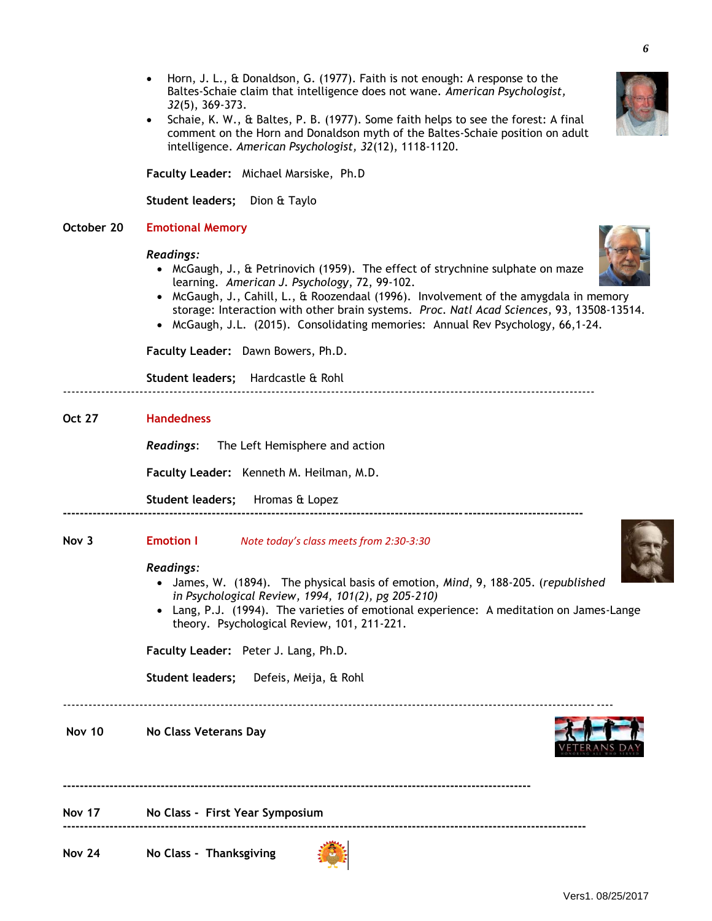- Horn, J. L., & Donaldson, G. (1977). Faith is not enough: A response to the Baltes-Schaie claim that intelligence does not wane. *American Psychologist, 32*(5), 369-373.
- Schaie, K. W., & Baltes, P. B. (1977). Some faith helps to see the forest: A final comment on the Horn and Donaldson myth of the Baltes-Schaie position on adult intelligence. *American Psychologist, 32*(12), 1118-1120.

**Faculty Leader:** Michael Marsiske, Ph.D

**Student leaders;** Dion & Taylo

# **October 20 Emotional Memory**

# *Readings:*

- McGaugh, J., & Petrinovich (1959). The effect of strychnine sulphate on maze learning. *American J. Psychology*, 72, 99-102.
- McGaugh, J., Cahill, L., & Roozendaal (1996). Involvement of the amygdala in memory storage: Interaction with other brain systems. *Proc. Natl Acad Sciences*, 93, 13508-13514.
- McGaugh, J.L. (2015). Consolidating memories: Annual Rev Psychology, 66,1-24.

**Faculty Leader:** Dawn Bowers, Ph.D.

**Student leaders;** Hardcastle & Rohl -----------------------------------------------------------------------------------------------------------------------------

# **Oct 27 Handedness**

*Readings*: The Left Hemisphere and action

**Faculty Leader:** Kenneth M. Heilman, M.D.

**Student leaders;** Hromas & Lopez **--------------------------------------------------------------------------------------------------------------------------**

# **Nov 3 Emotion I** *Note today's class meets from 2:30-3:30*

# *Readings:*

 James, W. (1894). The physical basis of emotion, *Mind*, 9, 188-205. (*republished in Psychological Review, 1994, 101(2), pg 205-210)*

**--------------------------------------------------------------------------------------------------------------**

**---------------------------------------------------------------------------------------------------------------------------**

 Lang, P.J. (1994). The varieties of emotional experience: A meditation on James-Lange theory. Psychological Review, 101, 211-221.

**Faculty Leader:** Peter J. Lang, Ph.D.

**Student leaders;** Defeis, Meija, & Rohl

---------------------------------------------------------------------------------------------------------------------------------

# **Nov 10 No Class Veterans Day**

# **Nov 17 No Class - First Year Symposium**

**Nov 24 No Class - Thanksgiving**





*6*